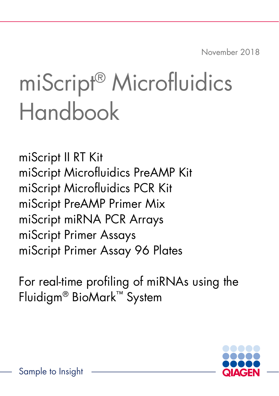November 2018

# miScript® Microfluidics Handbook

miScript II RT Kit miScript Microfluidics PreAMP Kit miScript Microfluidics PCR Kit miScript PreAMP Primer Mix miScript miRNA PCR Arrays miScript Primer Assays miScript Primer Assay 96 Plates

For real-time profiling of miRNAs using the Fluidigm® BioMark™ System

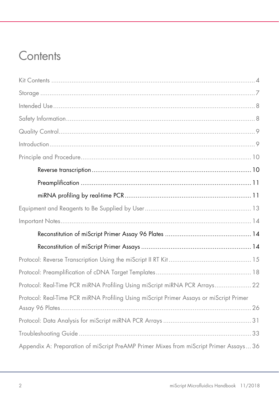### **Contents**

| Protocol: Real-Time PCR miRNA Profiling Using miScript miRNA PCR Arrays 22              |
|-----------------------------------------------------------------------------------------|
| Protocol: Real-Time PCR miRNA Profiling Using miScript Primer Assays or miScript Primer |
|                                                                                         |
|                                                                                         |
| Appendix A: Preparation of miScript PreAMP Primer Mixes from miScript Primer Assays 36  |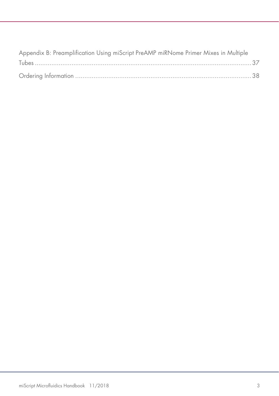| Appendix B: Preamplification Using miScript PreAMP miRNome Primer Mixes in Multiple |  |
|-------------------------------------------------------------------------------------|--|
|                                                                                     |  |
|                                                                                     |  |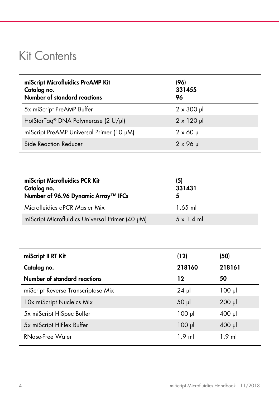### <span id="page-3-0"></span>Kit Contents

| miScript Microfluidics PreAMP Kit<br>Catalog no.<br>Number of standard reactions | (96)<br>331455<br>96 |
|----------------------------------------------------------------------------------|----------------------|
| 5x miScript PreAMP Buffer                                                        | $2 \times 300$ µ     |
| HotStarTag <sup>®</sup> DNA Polymerase (2 U/µl)                                  | $2 \times 120$ µ     |
| miScript PreAMP Universal Primer (10 µM)                                         | $2 \times 60 \mu$    |
| Side Reaction Reducer                                                            | $2 \times 96$ µ      |

| miScript Microfluidics PCR Kit<br>Catalog no.<br>Number of 96.96 Dynamic Array™ IFCs | (5)<br>331431     |
|--------------------------------------------------------------------------------------|-------------------|
| Microfluidics qPCR Master Mix                                                        | $1.65$ ml         |
| miScript Microfluidics Universal Primer (40 µM)                                      | $5 \times 1.4$ ml |

| miScript II RT Kit                 | (12)        | (50)        |
|------------------------------------|-------------|-------------|
| Catalog no.                        | 218160      | 218161      |
| Number of standard reactions       | 12          | 50          |
| miScript Reverse Transcriptase Mix | $24$ µ      | $100$ $\mu$ |
| 10x miScript Nucleics Mix          | $50$ $\mu$  | $200$ $\mu$ |
| 5x miScript HiSpec Buffer          | $100$ $\mu$ | $400$ $\mu$ |
| 5x miScript HiFlex Buffer          | $100$ $\mu$ | $400$ pl    |
| <b>RNase-Free Water</b>            | $1.9$ ml    | $1.9$ ml    |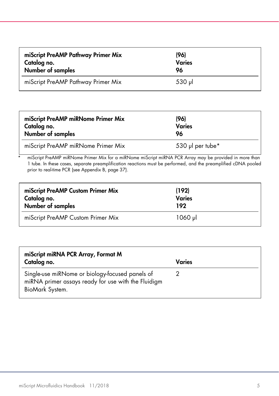| miScript PreAMP Pathway Primer Mix | (96)          |
|------------------------------------|---------------|
| Catalog no.                        | <b>Varies</b> |
| Number of samples                  | 96            |
| miScript PreAMP Pathway Primer Mix | $530$ pl      |

| miScript PreAMP miRNome Primer Mix | (96)             |
|------------------------------------|------------------|
| Catalog no.                        | <b>Varies</b>    |
| Number of samples                  | 96               |
| miScript PreAMP miRNome Primer Mix | 530 µl per tube* |

miScript PreAMP miRNome Primer Mix for a miRNome miScript miRNA PCR Array may be provided in more than 1 tube. In these cases, separate preamplification reactions must be performed, and the preamplified cDNA pooled prior to real-time PCR (see Appendix B, [page](#page-36-1) 37).

| miScript PreAMP Custom Primer Mix | (192)         |
|-----------------------------------|---------------|
| Catalog no.                       | <b>Varies</b> |
| Number of samples                 | 192           |
| miScript PreAMP Custom Primer Mix | 1060 µl       |

| miScript miRNA PCR Array, Format M                                                                                        |        |  |
|---------------------------------------------------------------------------------------------------------------------------|--------|--|
| Catalog no.                                                                                                               | Varies |  |
| Single-use miRNome or biology-focused panels of<br>miRNA primer assays ready for use with the Fluidigm<br>BioMark System. |        |  |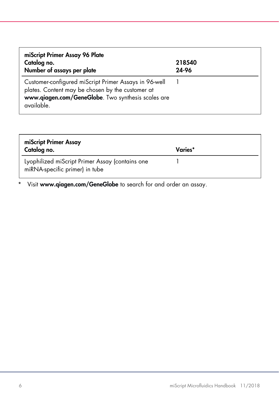| miScript Primer Assay 96 Plate<br>Catalog no.<br>Number of assays per plate                                                                                                   | 218540<br>24-96 |
|-------------------------------------------------------------------------------------------------------------------------------------------------------------------------------|-----------------|
| Customer-configured miScript Primer Assays in 96-well<br>plates. Content may be chosen by the customer at<br>www.qiagen.com/GeneGlobe. Two synthesis scales are<br>available. |                 |

| miScript Primer Assay<br>Catalog no.                                              | Varies* |
|-----------------------------------------------------------------------------------|---------|
| Lyophilized miScript Primer Assay (contains one<br>miRNA-specific primer) in tube |         |

\* Visit [www.qiagen.com/GeneGlobe](http://www.qiagen.com/GeneGlobe) to search for and order an assay.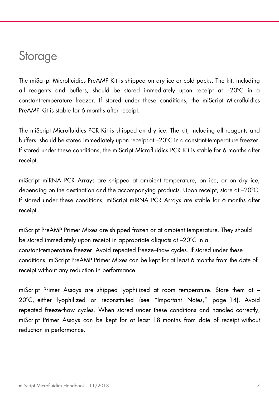### <span id="page-6-0"></span>**Storage**

The miScript Microfluidics PreAMP Kit is shipped on dry ice or cold packs. The kit, including all reagents and buffers, should be stored immediately upon receipt at –20ºC in a constant-temperature freezer. If stored under these conditions, the miScript Microfluidics PreAMP Kit is stable for 6 months after receipt.

The miScript Microfluidics PCR Kit is shipped on dry ice. The kit, including all reagents and buffers, should be stored immediately upon receipt at –20ºC in a constant-temperature freezer. If stored under these conditions, the miScript Microfluidics PCR Kit is stable for 6 months after receipt.

miScript miRNA PCR Arrays are shipped at ambient temperature, on ice, or on dry ice, depending on the destination and the accompanying products. Upon receipt, store at –20°C. If stored under these conditions, miScript miRNA PCR Arrays are stable for 6 months after receipt.

miScript PreAMP Primer Mixes are shipped frozen or at ambient temperature. They should be stored immediately upon receipt in appropriate aliquots at –20ºC in a constant-temperature freezer. Avoid repeated freeze–thaw cycles. If stored under these conditions, miScript PreAMP Primer Mixes can be kept for at least 6 months from the date of receipt without any reduction in performance.

miScript Primer Assays are shipped lyophilized at room temperature. Store them at – 20ºC, either lyophilized or reconstituted (see "Important Notes," page 14). Avoid repeated freeze-thaw cycles. When stored under these conditions and handled correctly, miScript Primer Assays can be kept for at least 18 months from date of receipt without reduction in performance.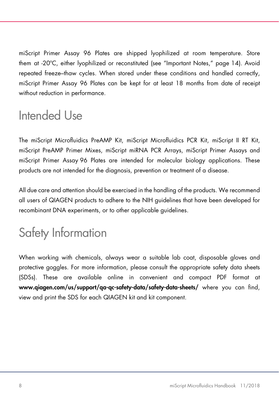miScript Primer Assay 96 Plates are shipped lyophilized at room temperature. Store them at -20ºC, either lyophilized or reconstituted (see "Important Notes," page 14). Avoid repeated freeze–thaw cycles. When stored under these conditions and handled correctly, miScript Primer Assay 96 Plates can be kept for at least 18 months from date of receipt without reduction in performance.

### <span id="page-7-0"></span>Intended Use

The miScript Microfluidics PreAMP Kit, miScript Microfluidics PCR Kit, miScript II RT Kit, miScript PreAMP Primer Mixes, miScript miRNA PCR Arrays, miScript Primer Assays and miScript Primer Assay 96 Plates are intended for molecular biology applications. These products are not intended for the diagnosis, prevention or treatment of a disease.

All due care and attention should be exercised in the handling of the products. We recommend all users of QIAGEN products to adhere to the NIH guidelines that have been developed for recombinant DNA experiments, or to other applicable guidelines.

### <span id="page-7-1"></span>Safety Information

When working with chemicals, always wear a suitable lab coat, disposable gloves and protective goggles. For more information, please consult the appropriate safety data sheets (SDSs). These are available online in convenient and compact PDF format at [www.qiagen.com/us/support/qa-qc-safety-data/safety-data-sheets/](https://www.qiagen.com/us/support/qa-qc-safety-data/safety-data-sheets/) where you can find, view and print the SDS for each QIAGEN kit and kit component.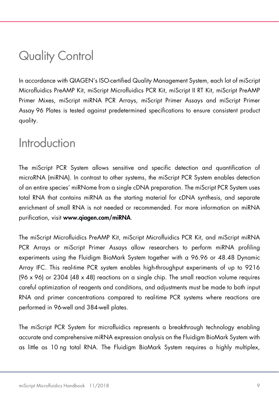### <span id="page-8-0"></span>Quality Control

In accordance with QIAGEN's ISO-certified Quality Management System, each lot of miScript Microfluidics PreAMP Kit, miScript Microfluidics PCR Kit, miScript II RT Kit, miScript PreAMP Primer Mixes, miScript miRNA PCR Arrays, miScript Primer Assays and miScript Primer Assay 96 Plates is tested against predetermined specifications to ensure consistent product quality.

### <span id="page-8-1"></span>**Introduction**

The miScript PCR System allows sensitive and specific detection and quantification of microRNA (miRNA). In contrast to other systems, the miScript PCR System enables detection of an entire species' miRNome from a single cDNA preparation. The miScript PCR System uses total RNA that contains miRNA as the starting material for cDNA synthesis, and separate enrichment of small RNA is not needed or recommended. For more information on miRNA purification, visit [www.qiagen.com/miRNA](https://www.qiagen.com/ph/products/life-science-research/research-applications/mirna-research/?akamai-feo=off).

The miScript Microfluidics PreAMP Kit, miScript Microfluidics PCR Kit, and miScript miRNA PCR Arrays or miScript Primer Assays allow researchers to perform miRNA profiling experiments using the Fluidigm BioMark System together with a 96.96 or 48.48 Dynamic Array IFC. This real-time PCR system enables high-throughput experiments of up to 9216 (96 x 96) or 2304 (48 x 48) reactions on a single chip. The small reaction volume requires careful optimization of reagents and conditions, and adjustments must be made to both input RNA and primer concentrations compared to real-time PCR systems where reactions are performed in 96-well and 384-well plates.

The miScript PCR System for microfluidics represents a breakthrough technology enabling accurate and comprehensive miRNA expression analysis on the Fluidigm BioMark System with as little as 10 ng total RNA. The Fluidigm BioMark System requires a highly multiplex,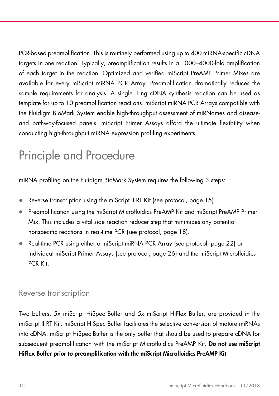PCR-based preamplification. This is routinely performed using up to 400 miRNA-specific cDNA targets in one reaction. Typically, preamplification results in a 1000–4000-fold amplification of each target in the reaction. Optimized and verified miScript PreAMP Primer Mixes are available for every miScript miRNA PCR Array. Preamplification dramatically reduces the sample requirements for analysis. A single 1 ng cDNA synthesis reaction can be used as template for up to 10 preamplification reactions. miScript miRNA PCR Arrays compatible with the Fluidigm BioMark System enable high-throughput assessment of miRNomes and diseaseand pathway-focused panels. miScript Primer Assays afford the ultimate flexibility when conducting high-throughput miRNA expression profiling experiments.

### <span id="page-9-0"></span>Principle and Procedure

miRNA profiling on the Fluidigm BioMark System requires the following 3 steps:

- Reverse transcription using the miScript II RT Kit (see protocol[, page](#page-14-1) 15).
- Preamplification using the miScript Microfluidics PreAMP Kit and miScript PreAMP Primer Mix. This includes a vital side reaction reducer step that minimizes any potential nonspecific reactions in real-time PCR (see protocol, page 18).
- Real-time PCR using either a miScript miRNA PCR Array (see protocol, page 22) or individual miScript Primer Assays (see protocol, page 26) and the miScript Microfluidics PCR Kit.

#### <span id="page-9-1"></span>Reverse transcription

Two buffers, 5x miScript HiSpec Buffer and 5x miScript HiFlex Buffer, are provided in the miScript II RT Kit. miScript HiSpec Buffer facilitates the selective conversion of mature miRNAs into cDNA. miScript HiSpec Buffer is the only buffer that should be used to prepare cDNA for subsequent preamplification with the miScript Microfluidics PreAMP Kit. Do not use miScript HiFlex Buffer prior to preamplification with the miScript Microfluidics PreAMP Kit.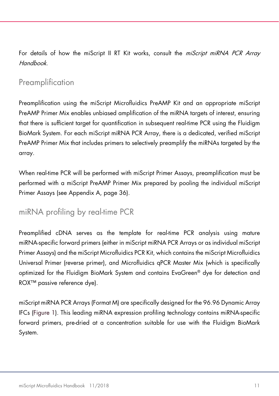For details of how the miScript II RT Kit works, consult the *miScript miRNA PCR Array* Handbook.

### <span id="page-10-0"></span>**Preamplification**

Preamplification using the miScript Microfluidics PreAMP Kit and an appropriate miScript PreAMP Primer Mix enables unbiased amplification of the miRNA targets of interest, ensuring that there is sufficient target for quantification in subsequent real-time PCR using the Fluidigm BioMark System. For each miScript miRNA PCR Array, there is a dedicated, verified miScript PreAMP Primer Mix that includes primers to selectively preamplify the miRNAs targeted by the array.

When real-time PCR will be performed with miScript Primer Assays, preamplification must be performed with a miScript PreAMP Primer Mix prepared by pooling the individual miScript Primer Assays (see Appendix A, page 36).

### <span id="page-10-1"></span>miRNA profiling by real-time PCR

Preamplified cDNA serves as the template for real-time PCR analysis using mature miRNA-specific forward primers (either in miScript miRNA PCR Arrays or as individual miScript Primer Assays) and the miScript Microfluidics PCR Kit, which contains the miScript Microfluidics Universal Primer (reverse primer), and Microfluidics qPCR Master Mix (which is specifically optimized for the Fluidigm BioMark System and contains EvaGreen® dye for detection and ROX™ passive reference dye).

miScript miRNA PCR Arrays (Format M) are specifically designed for the 96.96 Dynamic Array IFCs [\(Figure 1\)](#page-11-0). This leading miRNA expression profiling technology contains miRNA-specific forward primers, pre-dried at a concentration suitable for use with the Fluidigm BioMark System.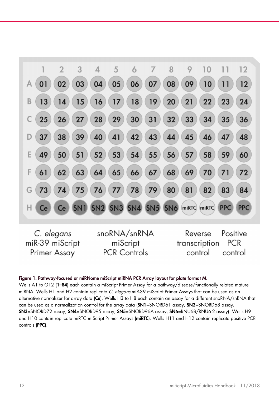

#### <span id="page-11-0"></span>Figure 1. Pathway-focused or miRNome miScript miRNA PCR Array layout for plate format M.

Wells A1 to G12 (1-84) each contain a miScript Primer Assay for a pathway/disease/functionally related mature miRNA. Wells H1 and H2 contain replicate C. elegans miR-39 miScript Primer Assays that can be used as an alternative normalizer for array data (Ce). Wells H3 to H8 each contain an assay for a different snoRNA/snRNA that can be used as a normalization control for the array data (SN1=SNORD61 assay, SN2=SNORD68 assay, SN3=SNORD72 assay, SN4=SNORD95 assay, SN5=SNORD96A assay, SN6=RNU6B/RNU6-2 assay). Wells H9 and H10 contain replicate miRTC miScript Primer Assays (miRTC). Wells H11 and H12 contain replicate positive PCR controls (PPC).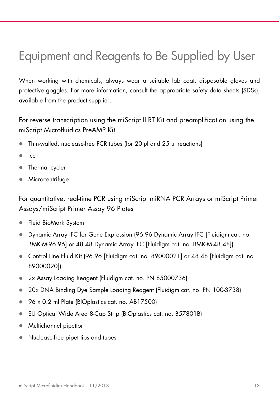### <span id="page-12-0"></span>Equipment and Reagents to Be Supplied by User

When working with chemicals, always wear a suitable lab coat, disposable gloves and protective goggles. For more information, consult the appropriate safety data sheets (SDSs), available from the product supplier.

For reverse transcription using the miScript II RT Kit and preamplification using the miScript Microfluidics PreAMP Kit

- Thin-walled, nuclease-free PCR tubes (for 20 μl and 25 μl reactions)
- Ice
- Thermal cycler
- Microcentrifuge

For quantitative, real-time PCR using miScript miRNA PCR Arrays or miScript Primer Assays/miScript Primer Assay 96 Plates

- Fluid BioMark System
- Dynamic Array IFC for Gene Expression (96.96 Dynamic Array IFC [Fluidigm cat. no. BMK-M-96.96] or 48.48 Dynamic Array IFC [Fluidigm cat. no. BMK-M-48.48])
- Control Line Fluid Kit (96.96 [Fluidigm cat. no. 89000021] or 48.48 [Fluidigm cat. no. 89000020])
- 2x Assay Loading Reagent (Fluidigm cat. no. PN 85000736)
- 20x DNA Binding Dye Sample Loading Reagent (Fluidigm cat. no. PN 100-3738)
- 96 x 0.2 ml Plate (BIOplastics cat. no. AB17500)
- EU Optical Wide Area 8-Cap Strip (BIOplastics cat. no. B57801B)
- Multichannel pipettor
- Nuclease-free pipet tips and tubes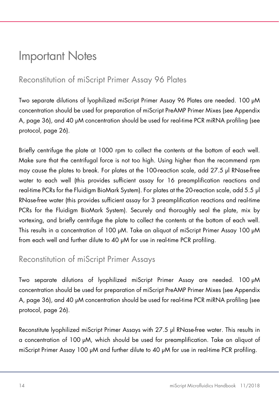### <span id="page-13-3"></span><span id="page-13-0"></span>Important Notes

### <span id="page-13-1"></span>Reconstitution of miScript Primer Assay 96 Plates

Two separate dilutions of lyophilized miScript Primer Assay 96 Plates are needed. 100 µM concentration should be used for preparation of miScript PreAMP Primer Mixes (see Appendix A, [page](#page-35-1) 36), and 40 µM concentration should be used for real-time PCR miRNA profiling (see protocol, [page](#page-25-1) 26).

Briefly centrifuge the plate at 1000 rpm to collect the contents at the bottom of each well. Make sure that the centrifugal force is not too high. Using higher than the recommend rpm may cause the plates to break. For plates at the 100-reaction scale, add 27.5 µl RNase-free water to each well (this provides sufficient assay for 16 preamplification reactions and real-time PCRs for the Fluidigm BioMark System). For plates at the 20-reaction scale, add 5.5 μl RNase-free water (this provides sufficient assay for 3 preamplification reactions and real-time PCRs for the Fluidigm BioMark System). Securely and thoroughly seal the plate, mix by vortexing, and briefly centrifuge the plate to collect the contents at the bottom of each well. This results in a concentration of 100 µM. Take an aliquot of miScript Primer Assay 100 µM from each well and further dilute to 40  $\mu$ M for use in real-time PCR profiling.

#### <span id="page-13-2"></span>Reconstitution of miScript Primer Assays

Two separate dilutions of lyophilized miScript Primer Assay are needed. 100 µM concentration should be used for preparation of miScript PreAMP Primer Mixes (see Appendix A, [page](#page-35-1) 36), and 40 µM concentration should be used for real-time PCR miRNA profiling (see protocol, [page](#page-25-1) 26).

Reconstitute lyophilized miScript Primer Assays with 27.5 µl RNase-free water. This results in a concentration of 100 µM, which should be used for preamplification. Take an aliquot of miScript Primer Assay 100 µM and further dilute to 40 µM for use in real-time PCR profiling.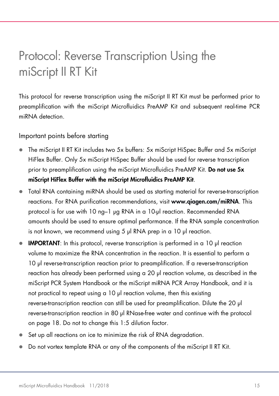### <span id="page-14-1"></span><span id="page-14-0"></span>Protocol: Reverse Transcription Using the miScript II RT Kit

This protocol for reverse transcription using the miScript II RT Kit must be performed prior to preamplification with the miScript Microfluidics PreAMP Kit and subsequent real-time PCR miRNA detection.

Important points before starting

- The miScript II RT Kit includes two 5x buffers: 5x miScript HiSpec Buffer and 5x miScript HiFlex Buffer. Only 5x miScript HiSpec Buffer should be used for reverse transcription prior to preamplification using the miScript Microfluidics PreAMP Kit. Do not use 5x miScript HiFlex Buffer with the miScript Microfluidics PreAMP Kit.
- Total RNA containing miRNA should be used as starting material for reverse-transcription reactions. For RNA purification recommendations, visit [www.qiagen.com/miRNA](https://www.qiagen.com/ph/products/life-science-research/research-applications/mirna-research/?akamai-feo=off). This protocol is for use with 10 ng–1 µg RNA in a 10-μl reaction. Recommended RNA amounts should be used to ensure optimal performance. If the RNA sample concentration is not known, we recommend using 5 μl RNA prep in a 10 μl reaction.
- IMPORTANT: In this protocol, reverse transcription is performed in a 10 μl reaction volume to maximize the RNA concentration in the reaction. It is essential to perform a 10 μl reverse-transcription reaction prior to preamplification. If a reverse-transcription reaction has already been performed using a 20 μl reaction volume, as described in the miScript PCR System Handbook or the miScript miRNA PCR Array Handbook, and it is not practical to repeat using a 10 μl reaction volume, then this existing reverse-transcription reaction can still be used for preamplification. Dilute the 20 μl reverse-transcription reaction in 80 μl RNase-free water and continue with the protocol on page 18. Do not to change this 1:5 dilution factor.
- Set up all reactions on ice to minimize the risk of RNA degradation.
- Do not vortex template RNA or any of the components of the miScript II RT Kit.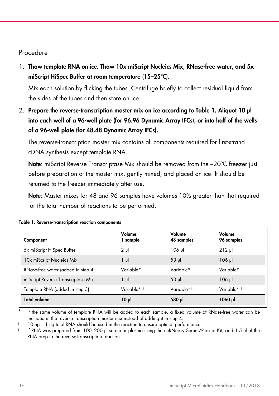#### Procedure

1. Thaw template RNA on ice. Thaw 10x miScript Nucleics Mix, RNase-free water, and 5x miScript HiSpec Buffer at room temperature (15–25ºC).

Mix each solution by flicking the tubes. Centrifuge briefly to collect residual liquid from the sides of the tubes and then store on ice.

2. Prepare the reverse-transcription master mix on ice according to [Table 1.](#page-15-0) Aliquot 10 µl into each well of a 96-well plate (for 96.96 Dynamic Array IFCs), or into half of the wells of a 96-well plate (for 48.48 Dynamic Array IFCs).

The reverse-transcription master mix contains all components required for first-strand cDNA synthesis except template RNA.

Note: miScript Reverse Transcriptase Mix should be removed from the -20°C freezer just before preparation of the master mix, gently mixed, and placed on ice. It should be returned to the freezer immediately after use.

Note: Master mixes for 48 and 96 samples have volumes 10% greater than that required for the total number of reactions to be performed.

| Component                          | Volume<br>1 sample      | Volume<br>48 samples   | Volume<br>96 samples   |
|------------------------------------|-------------------------|------------------------|------------------------|
| 5x miScript HiSpec Buffer          | $2 \mu$                 | $106$ pl               | $212$ pl               |
| 10x miScript Nucleics Mix          | 1 µl                    | $53$ $\mu$             | $106$ pl               |
| RNase-free water (added in step 4) | Variable*               | Variable*              | Variable*              |
| miScript Reverse Transcriptase Mix | 1 μl                    | $53$ pl                | $106$ pl               |
| Template RNA (added in step 3)     | Variable* <sup>†‡</sup> | Variable* <sup>†</sup> | Variable* <sup>†</sup> |
| <b>Total volume</b>                | ار 10                   | 530 µl                 | 1060 µl                |

<span id="page-15-0"></span>

| Table 1. Reverse-transcription reaction components |  |  |  |  |  |  |
|----------------------------------------------------|--|--|--|--|--|--|
|----------------------------------------------------|--|--|--|--|--|--|

If the same volume of template RNA will be added to each sample, a fixed volume of RNase-free water can be included in the reverse transcription master mix instead of adding it in step 4.

† 10 ng – 1 µg total RNA should be used in the reaction to ensure optimal performance.

‡ If RNA was prepared from 100–200 μl serum or plasma using the miRNeasy Serum/Plasma Kit, add 1.5 μl of the RNA prep to the reverse-transcription reaction.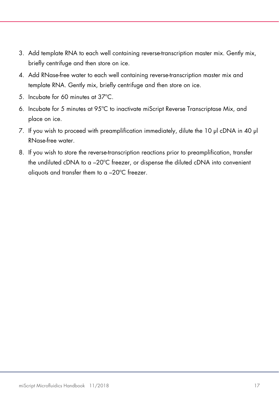- <span id="page-16-0"></span>3. Add template RNA to each well containing reverse-transcription master mix. Gently mix, briefly centrifuge and then store on ice.
- 4. Add RNase-free water to each well containing reverse-transcription master mix and template RNA. Gently mix, briefly centrifuge and then store on ice.
- 5. Incubate for 60 minutes at 37ºC.
- 6. Incubate for 5 minutes at 95ºC to inactivate miScript Reverse Transcriptase Mix, and place on ice.
- 7. If you wish to proceed with preamplification immediately, dilute the 10 μl cDNA in 40 μl RNase-free water.
- 8. If you wish to store the reverse-transcription reactions prior to preamplification, transfer the undiluted cDNA to a –20ºC freezer, or dispense the diluted cDNA into convenient aliquots and transfer them to a –20ºC freezer.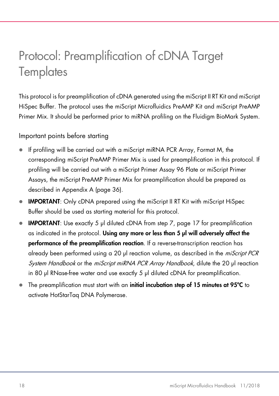### <span id="page-17-1"></span><span id="page-17-0"></span>Protocol: Preamplification of cDNA Target **Templates**

This protocol is for preamplification of cDNA generated using the miScript II RT Kit and miScript HiSpec Buffer. The protocol uses the miScript Microfluidics PreAMP Kit and miScript PreAMP Primer Mix. It should be performed prior to miRNA profiling on the Fluidigm BioMark System.

Important points before starting

- If profiling will be carried out with a miScript miRNA PCR Array, Format M, the corresponding miScript PreAMP Primer Mix is used for preamplification in this protocol. If profiling will be carried out with a miScript Primer Assay 96 Plate or miScript Primer Assays, the miScript PreAMP Primer Mix for preamplification should be prepared as described in Appendix A [\(page](#page-35-1) 36).
- IMPORTANT: Only cDNA prepared using the miScript II RT Kit with miScript HiSpec Buffer should be used as starting material for this protocol.
- IMPORTANT: Use exactly 5 μl diluted cDNA from step 7, [page 17](#page-16-0) for preamplification as indicated in the protocol. Using any more or less than 5 μl will adversely affect the performance of the preamplification reaction. If a reverse-transcription reaction has already been performed using a 20 μl reaction volume, as described in the miScript PCR System Handbook or the miScript miRNA PCR Array Handbook, dilute the 20 μl reaction in 80 μl RNase-free water and use exactly 5 μl diluted cDNA for preamplification.
- The preamplification must start with an initial incubation step of 15 minutes at 95°C to activate HotStarTaq DNA Polymerase.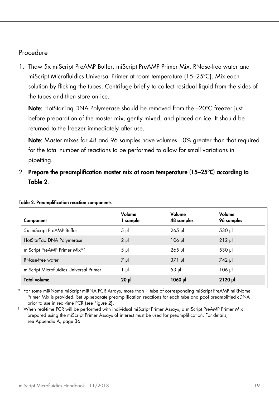#### Procedure

1. Thaw 5x miScript PreAMP Buffer, miScript PreAMP Primer Mix, RNase-free water and miScript Microfluidics Universal Primer at room temperature (15–25ºC). Mix each solution by flicking the tubes. Centrifuge briefly to collect residual liquid from the sides of the tubes and then store on ice.

Note: HotStarTaq DNA Polymerase should be removed from the -20°C freezer just before preparation of the master mix, gently mixed, and placed on ice. It should be returned to the freezer immediately after use.

Note: Master mixes for 48 and 96 samples have volumes 10% areater than that required for the total number of reactions to be performed to allow for small variations in pipetting.

2. Prepare the preamplification master mix at room temperature (15–25ºC) according to [Table 2](#page-18-0).

| Component                                | Volume<br>1 sample | Volume<br>48 samples | Volume<br>96 samples |
|------------------------------------------|--------------------|----------------------|----------------------|
| 5x miScript PreAMP Buffer                | $5 \mu$            | $265$ $\mu$          | 530 µl               |
| HotStarTag DNA Polymerase                | $2 \mu$            | $106$ $\mu$          | $212$ $\mu$          |
| miScript PreAMP Primer Mix* <sup>†</sup> | $5 \mu$            | $265$ pl             | 530 µl               |
| RNase-free water                         | $7 \mu$            | $371$ µ              | 742 µl               |
| miScript Microfluidics Universal Primer  | 1 μΙ               | $53$ $\mu$           | $106$ pl             |
| <b>Total volume</b>                      | $20 \mu$           | 1060 µl              | $2120$ pl            |

#### <span id="page-18-0"></span>Table 2. Preamplification reaction components

\* For some miRNome miScript miRNA PCR Arrays, more than 1 tube of corresponding miScript PreAMP miRNome Primer Mix is provided. Set up separate preamplification reactions for each tube and pool preamplified cDNA

t When real-time PCR will be performed with individual miScript Primer Assays, a miScript PreAMP Primer Mix prepared using the miScript Primer Assays of interest must be used for preamplification. For details, see Appendix A, [page](#page-35-1) 36.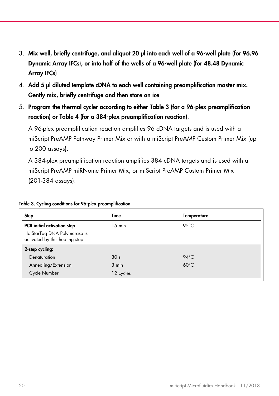- 3. Mix well, briefly centrifuge, and aliquot 20 µl into each well of a 96-well plate (for 96.96 Dynamic Array IFCs), or into half of the wells of a 96-well plate (for 48.48 Dynamic Array IFCs).
- 4. Add 5 µl diluted template cDNA to each well containing preamplification master mix. Gently mix, briefly centrifuge and then store on ice.
- 5. Program the thermal cycler according to eithe[r Table 3](#page-19-0) (for a 96-plex preamplification reaction) o[r Table 4](#page-20-0) (for a 384-plex preamplification reaction).

A 96-plex preamplification reaction amplifies 96 cDNA targets and is used with a miScript PreAMP Pathway Primer Mix or with a miScript PreAMP Custom Primer Mix (up to 200 assays).

A 384-plex preamplification reaction amplifies 384 cDNA targets and is used with a miScript PreAMP miRNome Primer Mix, or miScript PreAMP Custom Primer Mix (201-384 assays).

| Time            | Temperature    |
|-----------------|----------------|
| 15 min          | $95^{\circ}$ C |
|                 |                |
|                 |                |
| 30 <sub>s</sub> | $94^{\circ}$ C |
| 3 min           | $60^{\circ}$ C |
| 12 cycles       |                |
|                 |                |

#### <span id="page-19-0"></span>Table 3. Cycling conditions for 96-plex preamplification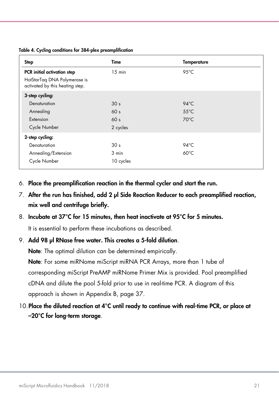<span id="page-20-1"></span><span id="page-20-0"></span>Table 4. Cycling conditions for 384-plex preamplification

| <b>Step</b>                                                     | Time            | <b>Temperature</b> |
|-----------------------------------------------------------------|-----------------|--------------------|
| PCR initial activation step                                     | $15$ min        | $95^{\circ}$ C     |
| HotStarTag DNA Polymerase is<br>activated by this heating step. |                 |                    |
| 3-step cycling:                                                 |                 |                    |
| Denaturation                                                    | 30 <sub>s</sub> | $94^{\circ}$ C     |
| Annealing                                                       | 60 <sub>s</sub> | $55^{\circ}$ C     |
| Extension                                                       | 60 <sub>s</sub> | $70^{\circ}$ C     |
| Cycle Number                                                    | 2 cycles        |                    |
| 2-step cycling:                                                 |                 |                    |
| Denaturation                                                    | 30 <sub>s</sub> | $94^{\circ}$ C     |
| Annealing/Extension                                             | 3 min           | $60^{\circ}$ C     |
| Cycle Number                                                    | 10 cycles       |                    |

- 6. Place the preamplification reaction in the thermal cycler and start the run.
- 7. After the run has finished, add 2 ul Side Reaction Reducer to each preamplified reaction, mix well and centrifuge briefly.

#### 8. Incubate at 37°C for 15 minutes, then heat inactivate at 95°C for 5 minutes.

It is essential to perform these incubations as described.

#### 9. Add 98 µl RNase free water. This creates a 5-fold dilution.

Note: The optimal dilution can be determined empirically.

Note: For some miRNome miScript miRNA PCR Arrays, more than 1 tube of corresponding miScript PreAMP miRNome Primer Mix is provided. Pool preamplified cDNA and dilute the pool 5-fold prior to use in real-time PCR. A diagram of this approach is shown in Appendix B, page 37.

10.Place the diluted reaction at 4°C until ready to continue with real-time PCR, or place at –20°C for long-term storage.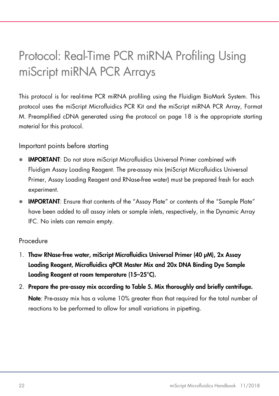### <span id="page-21-0"></span>Protocol: Real-Time PCR miRNA Profiling Using miScript miRNA PCR Arrays

This protocol is for real-time PCR miRNA profiling using the Fluidigm BioMark System. This protocol uses the miScript Microfluidics PCR Kit and the miScript miRNA PCR Array, Format M. Preamplified cDNA generated using the protocol on page 18 is the appropriate starting material for this protocol.

Important points before starting

- IMPORTANT: Do not store miScript Microfluidics Universal Primer combined with Fluidigm Assay Loading Reagent. The pre-assay mix (miScript Microfluidics Universal Primer, Assay Loading Reagent and RNase-free water) must be prepared fresh for each experiment.
- IMPORTANT: Ensure that contents of the "Assay Plate" or contents of the "Sample Plate" have been added to all assay inlets or sample inlets, respectively, in the Dynamic Array IFC. No inlets can remain empty.

#### Procedure

- 1. Thaw RNase-free water, miScript Microfluidics Universal Primer (40 µM), 2x Assay Loading Reagent, Microfluidics qPCR Master Mix and 20x DNA Binding Dye Sample Loading Reagent at room temperature (15–25°C).
- 2. Prepare the pre-assay mix according to [Table 5.](#page-22-0) Mix thoroughly and briefly centrifuge. Note: Pre-assay mix has a volume 10% greater than that required for the total number of reactions to be performed to allow for small variations in pipetting.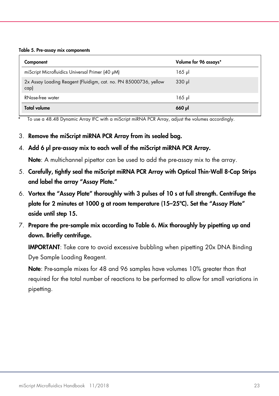<span id="page-22-0"></span>Table 5. Pre-assay mix components

| Component                                                                | Volume for 96 assays* |
|--------------------------------------------------------------------------|-----------------------|
| miScript Microfluidics Universal Primer (40 µM)                          | 165 µl                |
| 2x Assay Loading Reagent (Fluidigm, cat. no. PN 85000736, yellow<br>cap) | $330$ pl              |
| RNase-free water                                                         | 165 µl                |
| <b>Total volume</b>                                                      | $660$ pl              |

To use a 48.48 Dynamic Array IFC with a miScript miRNA PCR Array, adjust the volumes accordingly.

3. Remove the miScript miRNA PCR Array from its sealed bag.

#### 4. Add 6 µl pre-assay mix to each well of the miScript miRNA PCR Array.

Note: A multichannel pipettor can be used to add the pre-assay mix to the array.

- 5. Carefully, tightly seal the miScript miRNA PCR Array with Optical Thin-Wall 8-Cap Strips and label the array "Assay Plate."
- 6. Vortex the "Assay Plate" thoroughly with 3 pulses of 10 s at full strength. Centrifuge the plate for 2 minutes at 1000 g at room temperature (15–25ºC). Set the "Assay Plate" aside until step 15.
- 7. Prepare the pre-sample mix according to [Table 6.](#page-23-0) Mix thoroughly by pipetting up and down. Briefly centrifuge.

IMPORTANT: Take care to avoid excessive bubbling when pipetting 20x DNA Binding Dye Sample Loading Reagent.

Note: Pre-sample mixes for 48 and 96 samples have volumes 10% greater than that required for the total number of reactions to be performed to allow for small variations in pipetting.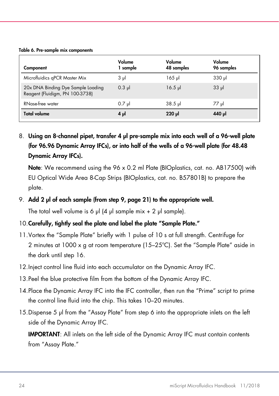#### <span id="page-23-0"></span>Table 6. Pre-sample mix components

| Component                                                             | Volume<br>1 sample | Volume<br>48 samples | Volume<br>96 samples |
|-----------------------------------------------------------------------|--------------------|----------------------|----------------------|
| Microfluidics qPCR Master Mix                                         | $3 \mu$            | 165 µl               | $330$ pl             |
| 20x DNA Binding Dye Sample Loading<br>Reagent (Fluidigm, PN 100-3738) | $0.3$ pl           | $16.5$ pl            | $33 \mu$             |
| RNase-free water                                                      | $0.7$ µ            | $38.5$ pl            | 77 µl                |
| <b>Total volume</b>                                                   | $4 \mu$            | $220$ pl             | 440 µl               |

8. Using an 8-channel pipet, transfer 4 µl pre-sample mix into each well of a 96-well plate (for 96.96 Dynamic Array IFCs), or into half of the wells of a 96-well plate (for 48.48 Dynamic Array IFCs).

Note: We recommend using the 96 x 0.2 ml Plate (BIOplastics, cat. no. AB17500) with EU Optical Wide Area 8-Cap Strips (BIOplastics, cat. no. B57801B) to prepare the plate.

#### 9. Add 2 µl of each sample (from step 9, page 21) to the appropriate well.

The total well volume is 6  $\mu$ l (4  $\mu$ l sample mix + 2  $\mu$ l sample).

#### 10. Carefully, tightly seal the plate and label the plate "Sample Plate."

- 11.Vortex the "Sample Plate" briefly with 1 pulse of 10 s at full strength. Centrifuge for 2 minutes at 1000 x g at room temperature (15–25ºC). Set the "Sample Plate" aside in the dark until step 16.
- 12. Inject control line fluid into each accumulator on the Dynamic Array IFC.
- 13.Peel the blue protective film from the bottom of the Dynamic Array IFC.
- 14.Place the Dynamic Array IFC into the IFC controller, then run the "Prime" script to prime the control line fluid into the chip. This takes 10–20 minutes.
- 15.Dispense 5 µl from the "Assay Plate" from step 6 into the appropriate inlets on the left side of the Dynamic Array IFC.

IMPORTANT: All inlets on the left side of the Dynamic Array IFC must contain contents from "Assay Plate."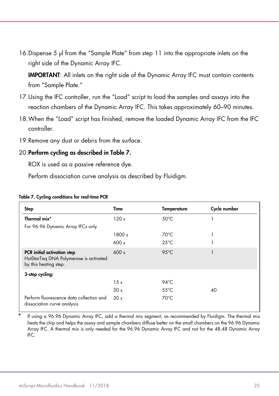16.Dispense 5 µl from the "Sample Plate" from step 11 into the appropriate inlets on the right side of the Dynamic Array IFC.

IMPORTANT: All inlets on the right side of the Dynamic Array IFC must contain contents from "Sample Plate."

- 17.Using the IFC controller, run the "Load" script to load the samples and assays into the reaction chambers of the Dynamic Array IFC. This takes approximately 60–90 minutes.
- 18.When the "Load" script has finished, remove the loaded Dynamic Array IFC from the IFC controller.
- 19.Remove any dust or debris from the surface.

#### 20.Perform cycling as described in [Table 7.](#page-24-0)

ROX is used as a passive reference dye.

Perform dissociation curve analysis as described by Fluidigm.

| <b>Step</b>                                                                                           | Time            | <b>Temperature</b> | Cycle number |
|-------------------------------------------------------------------------------------------------------|-----------------|--------------------|--------------|
| Thermal mix*                                                                                          | 120s            | $50^{\circ}$ C     |              |
| For 96.96 Dynamic Array IFCs only                                                                     |                 |                    |              |
|                                                                                                       | 1800 s          | $70^{\circ}$ C     |              |
|                                                                                                       | 600s            | $25^{\circ}$ C     |              |
| <b>PCR</b> initial activation step<br>HotStarTag DNA Polymerase is activated<br>by this heating step. | 600 s           | $95^{\circ}$ C     |              |
| 3-step cycling:                                                                                       |                 |                    |              |
|                                                                                                       | 15 <sub>s</sub> | 94°C               |              |
|                                                                                                       | 30 <sub>s</sub> | $55^{\circ}$ C     | 40           |
| Perform fluorescence data collection and<br>dissociation curve analysis.                              | 30 <sub>s</sub> | 70°C               |              |

#### <span id="page-24-0"></span>Table 7. Cycling conditions for real-time PCR

If using a 96.96 Dynamic Array IFC, add a thermal mix segment, as recommended by Fluidigm. The thermal mix heats the chip and helps the assay and sample chambers diffuse better on the small chambers on the 96.96 Dynamic Array IFC. A thermal mix is only needed for the 96.96 Dynamic Array IFC and not for the 48.48 Dynamic Array IFC.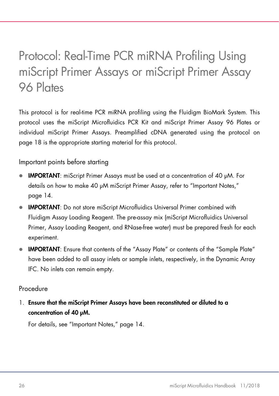### <span id="page-25-1"></span><span id="page-25-0"></span>Protocol: Real-Time PCR miRNA Profiling Using miScript Primer Assays or miScript Primer Assay 96 Plates

This protocol is for real-time PCR miRNA profiling using the Fluidigm BioMark System. This protocol uses the miScript Microfluidics PCR Kit and miScript Primer Assay 96 Plates or individual miScript Primer Assays. Preamplified cDNA generated using the protocol on page 18 is the appropriate starting material for this protocol.

Important points before starting

- IMPORTANT: miScript Primer Assays must be used at a concentration of 40 µM. For details on how to make 40 µM miScript Primer Assay, refer to "Important Notes," page 14.
- **IMPORTANT:** Do not store miScript Microfluidics Universal Primer combined with Fluidigm Assay Loading Reagent. The pre-assay mix (miScript Microfluidics Universal Primer, Assay Loading Reagent, and RNase-free water) must be prepared fresh for each experiment.
- IMPORTANT: Ensure that contents of the "Assay Plate" or contents of the "Sample Plate" have been added to all assay inlets or sample inlets, respectively, in the Dynamic Array IFC. No inlets can remain empty.

#### Procedure

1. Ensure that the miScript Primer Assays have been reconstituted or diluted to a concentration of 40 µM.

For details, see "Important Notes," page 14.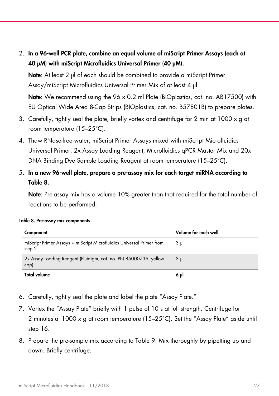2. In a 96-well PCR plate, combine an equal volume of miScript Primer Assays (each at 40 µM) with miScript Microfluidics Universal Primer (40 µM).

Note: At least 2 µ of each should be combined to provide a miScript Primer Assay/miScript Microfluidics Universal Primer Mix of at least 4 µl.

Note: We recommend using the 96 x 0.2 ml Plate (BIOplastics, cat. no. AB17500) with EU Optical Wide Area 8-Cap Strips (BIOplastics, cat. no. B57801B) to prepare plates.

- 3. Carefully, tightly seal the plate, briefly vortex and centrifuge for 2 min at 1000  $\times$  a at room temperature (15–25°C).
- 4. Thaw RNase-free water, miScript Primer Assays mixed with miScript Microfluidics Universal Primer, 2x Assay Loading Reagent, Microfluidics qPCR Master Mix and 20x DNA Binding Dye Sample Loading Reagent at room temperature (15–25°C).
- 5. In a new 96-well plate, prepare a pre-assay mix for each target miRNA according to [Table 8.](#page-26-0)

Note: Pre-assay mix has a volume 10% greater than that required for the total number of reactions to be performed.

| Component                                                                       | Volume for each well |
|---------------------------------------------------------------------------------|----------------------|
| miScript Primer Assays + miScript Microfluidics Universal Primer from<br>step 2 | $3 \mu$              |
| 2x Assay Loading Reagent (Fluidigm, cat. no. PN 85000736, yellow<br>cap)        | $3 \mu$              |
| Total volume                                                                    | 6 ul                 |

<span id="page-26-0"></span>

|  |  |  | Table 8. Pre-assay mix components |
|--|--|--|-----------------------------------|
|--|--|--|-----------------------------------|

- 6. Carefully, tightly seal the plate and label the plate "Assay Plate."
- 7. Vortex the "Assay Plate" briefly with 1 pulse of 10 s at full strength. Centrifuge for 2 minutes at  $1000 \times a$  at room temperature ( $15-25^{\circ}$ C). Set the "Assay Plate" aside until step 16.
- 8. Prepare the pre-sample mix according to [Table 9.](#page-27-0) Mix thoroughly by pipetting up and down. Briefly centrifuge.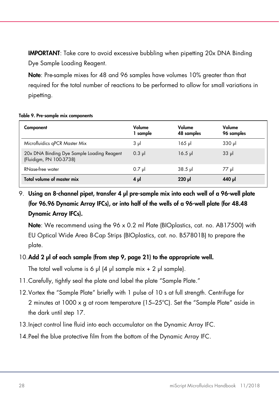IMPORTANT: Take care to avoid excessive bubbling when pipetting 20x DNA Binding Dye Sample Loading Reagent.

Note: Pre-sample mixes for 48 and 96 samples have volumes 10% greater than that required for the total number of reactions to be performed to allow for small variations in pipetting.

#### <span id="page-27-0"></span>Table 9. Pre-sample mix components

| Component                                                             | Volume<br>sample | Volume<br>48 samples | Volume<br>96 samples |
|-----------------------------------------------------------------------|------------------|----------------------|----------------------|
| Microfluidics qPCR Master Mix                                         | $3 \mu$          | 165 µl               | $330$ pl             |
| 20x DNA Binding Dye Sample Loading Reagent<br>(Fluidigm, PN 100-3738) | $0.3$ pl         | $16.5$ pl            | $33 \mu$             |
| RNase-free water                                                      | $0.7$ pl         | $38.5$ pl            | ارر 77               |
| Total volume of master mix                                            | 4μl              | $220$ pl             | 140 JJ               |

#### 9. Using an 8-channel pipet, transfer 4 µl pre-sample mix into each well of a 96-well plate (for 96.96 Dynamic Array IFCs), or into half of the wells of a 96-well plate (for 48.48 Dynamic Array IFCs).

Note: We recommend using the 96 x 0.2 ml Plate (BIOplastics, cat. no. AB17500) with EU Optical Wide Area 8-Cap Strips (BIOplastics, cat. no. B57801B) to prepare the plate.

#### 10.Add 2 µl of each sample (from step 9, page 21) to the appropriate well.

The total well volume is 6  $\mu$ l (4  $\mu$ l sample mix + 2  $\mu$ l sample).

- 11.Carefully, tightly seal the plate and label the plate "Sample Plate."
- 12.Vortex the "Sample Plate" briefly with 1 pulse of 10 s at full strength. Centrifuge for 2 minutes at 1000 x g at room temperature (15–25ºC). Set the "Sample Plate" aside in the dark until step 17.
- 13.Inject control line fluid into each accumulator on the Dynamic Array IFC.
- 14.Peel the blue protective film from the bottom of the Dynamic Array IFC.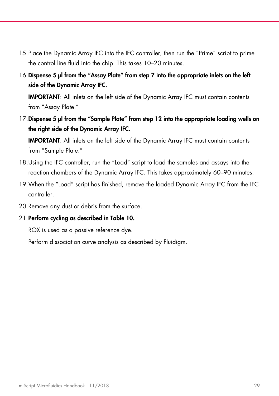- 15.Place the Dynamic Array IFC into the IFC controller, then run the "Prime" script to prime the control line fluid into the chip. This takes 10–20 minutes.
- 16.Dispense 5 µl from the "Assay Plate" from step 7 into the appropriate inlets on the left side of the Dynamic Array IFC.

IMPORTANT: All inlets on the left side of the Dynamic Array IFC must contain contents from "Assay Plate."

17. Dispense 5 µl from the "Sample Plate" from step 12 into the appropriate loading wells on the right side of the Dynamic Array IFC.

IMPORTANT: All inlets on the left side of the Dynamic Array IFC must contain contents from "Sample Plate."

- 18.Using the IFC controller, run the "Load" script to load the samples and assays into the reaction chambers of the Dynamic Array IFC. This takes approximately 60–90 minutes.
- 19.When the "Load" script has finished, remove the loaded Dynamic Array IFC from the IFC controller.
- 20.Remove any dust or debris from the surface.

#### 21.Perform cycling as described in [Table 10.](#page-29-0)

ROX is used as a passive reference dye.

Perform dissociation curve analysis as described by Fluidigm.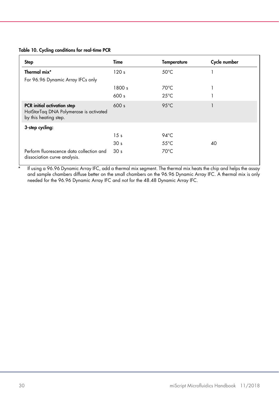#### <span id="page-29-0"></span>Table 10. Cycling conditions for real-time PCR

| Step                                                                                                  | Time            | <b>Temperature</b> | Cycle number |
|-------------------------------------------------------------------------------------------------------|-----------------|--------------------|--------------|
| Thermal mix*                                                                                          | 120s            | $50^{\circ}$ C     |              |
| For 96.96 Dynamic Array IFCs only                                                                     |                 |                    |              |
|                                                                                                       | 1800 s          | $70^{\circ}$ C     |              |
|                                                                                                       | 600 s           | $25^{\circ}$ C     |              |
| <b>PCR</b> initial activation step<br>HotStarTag DNA Polymerase is activated<br>by this heating step. | 600 s           | $95^{\circ}$ C     |              |
| 3-step cycling:                                                                                       |                 |                    |              |
|                                                                                                       | 15 <sub>s</sub> | $94^{\circ}$ C     |              |
|                                                                                                       | 30 <sub>s</sub> | $55^{\circ}$ C     | 40           |
| Perform fluorescence data collection and<br>dissociation curve analysis.                              | 30 <sub>s</sub> | $70^{\circ}$ C     |              |

If using a 96.96 Dynamic Array IFC, add a thermal mix segment. The thermal mix heats the chip and helps the assay and sample chambers diffuse better on the small chambers on the 96.96 Dynamic Array IFC. A thermal mix is only needed for the 96.96 Dynamic Array IFC and not for the 48.48 Dynamic Array IFC.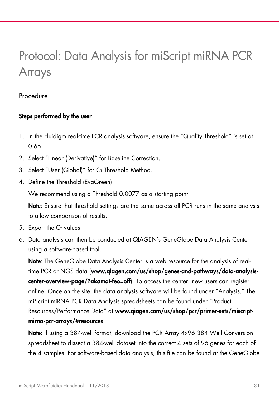### <span id="page-30-0"></span>Protocol: Data Analysis for miScript miRNA PCR Arrays

#### Procedure

#### Steps performed by the user

- 1. In the Fluidigm real-time PCR analysis software, ensure the "Quality Threshold" is set at 0.65.
- 2. Select "Linear (Derivative)" for Baseline Correction.
- 3. Select "User (Global)" for  $C_I$  Threshold Method.
- 4. Define the Threshold (EvaGreen).

We recommend using a Threshold 0.0077 as a starting point.

Note: Ensure that threshold settings are the same across all PCR runs in the same analysis to allow comparison of results.

- 5. Export the  $C<sub>T</sub>$  values.
- 6. Data analysis can then be conducted at QIAGEN's GeneGlobe Data Analysis Center using a software-based tool.

Note: The GeneGlobe Data Analysis Center is a web resource for the analysis of realtime PCR or NGS data ([www.qiagen.com/us/shop/genes-and-pathways/data-analysis](https://www.qiagen.com/us/shop/genes-and-pathways/data-analysis-center-overview-page/?akamai-feo=off)[center-overview-page/?akamai-feo=off](https://www.qiagen.com/us/shop/genes-and-pathways/data-analysis-center-overview-page/?akamai-feo=off)). To access the center, new users can register online. Once on the site, the data analysis software will be found under "Analysis." The miScript miRNA PCR Data Analysis spreadsheets can be found under "Product Resources/Performance Data" at [www.qiagen.com/us/shop/pcr/primer-sets/miscript](https://www.qiagen.com/us/shop/pcr/primer-sets/miscript-mirna-pcr-arrays/#resources)[mirna-pcr-arrays/#resources](https://www.qiagen.com/us/shop/pcr/primer-sets/miscript-mirna-pcr-arrays/#resources).

Note: If using a 384-well format, download the PCR Array 4x96 384 Well Conversion spreadsheet to dissect a 384-well dataset into the correct 4 sets of 96 genes for each of the 4 samples. For software-based data analysis, this file can be found at the GeneGlobe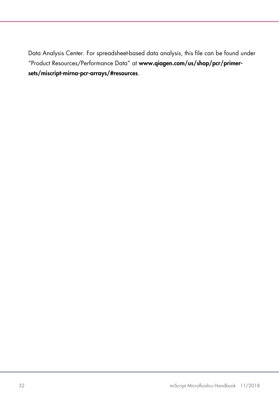Data Analysis Center. For spreadsheet-based data analysis, this file can be found under "Product Resources/Performance Data" at [www.qiagen.com/us/shop/pcr/primer](https://www.qiagen.com/us/shop/pcr/primer-sets/miscript-mirna-pcr-arrays/#resources)[sets/miscript-mirna-pcr-arrays/#resources](https://www.qiagen.com/us/shop/pcr/primer-sets/miscript-mirna-pcr-arrays/#resources).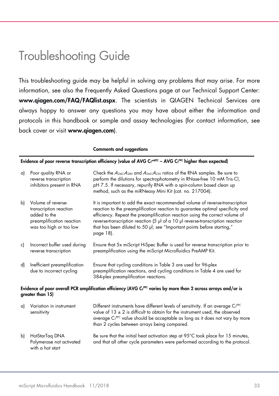### <span id="page-32-0"></span>Troubleshooting Guide

This troubleshooting guide may be helpful in solving any problems that may arise. For more information, see also the Frequently Asked Questions page at our Technical Support Center: [www.qiagen.com/FAQ/FAQlist.aspx](https://www.qiagen.com/ph/support/faqs/?akamai-feo=off). The scientists in QIAGEN Technical Services are always happy to answer any questions you may have about either the information and protocols in this handbook or sample and assay technologies (for contact information, see back cover or visit [www.qiagen.com](https://www.qiagen.com/ph/)).

|    |                                                                                                                                               | <b>Comments and suggestions</b>                                                                                                                                                                                                                                                                                                                                                                                          |  |  |  |
|----|-----------------------------------------------------------------------------------------------------------------------------------------------|--------------------------------------------------------------------------------------------------------------------------------------------------------------------------------------------------------------------------------------------------------------------------------------------------------------------------------------------------------------------------------------------------------------------------|--|--|--|
|    |                                                                                                                                               | Evidence of poor reverse transcription efficiency (value of AVG Cr <sup>miRTC</sup> - AVG Cr <sup>PPC</sup> higher than expected)                                                                                                                                                                                                                                                                                        |  |  |  |
| a) | Poor quality RNA or<br>reverse transcription<br>inhibitors present in RNA                                                                     | Check the $A_{260}$ : $A_{280}$ and $A_{260}$ : $A_{230}$ ratios of the RNA samples. Be sure to<br>perform the dilutions for spectrophotometry in RNase-free 10 mM Tris-CI,<br>pH 7.5. If necessary, repurify RNA with a spin-column based clean up<br>method, such as the miRNeasy Mini Kit (cat. no. 217004).                                                                                                          |  |  |  |
| b) | Volume of reverse-<br>transcription reaction<br>added to the<br>preamplification reaction<br>was too high or too low                          | It is important to add the exact recommended volume of reverse-transcription<br>reaction to the preamplification reaction to guarantee optimal specificity and<br>efficiency. Repeat the preamplification reaction using the correct volume of<br>reverse-transcription reaction (5 µl of a 10 µl reverse-transcription reaction<br>that has been diluted to 50 µl; see "Important points before starting,"<br>page 18). |  |  |  |
| c) | Incorrect buffer used during<br>reverse transcription                                                                                         | Ensure that 5x miScript HiSpec Buffer is used for reverse transcription prior to<br>preamplification using the miScript Microfluidics PreAMP Kit.                                                                                                                                                                                                                                                                        |  |  |  |
| d) | Inefficient preamplification<br>due to incorrect cycling                                                                                      | Ensure that cycling conditions in Table 3 are used for 96-plex<br>preamplification reactions, and cycling conditions in Table 4 are used for<br>384-plex preamplification reactions.                                                                                                                                                                                                                                     |  |  |  |
|    | Evidence of poor overall PCR amplification efficiency (AVG Cr <sup>PC</sup> varies by more than 2 across arrays and/or is<br>greater than 15) |                                                                                                                                                                                                                                                                                                                                                                                                                          |  |  |  |
| a) | Variation in instrument<br>sensitivity                                                                                                        | Different instruments have different levels of sensitivity. If an average C <sub>r</sub> PPC<br>value of $13 \pm 2$ is difficult to obtain for the instrument used, the observed<br>average C <sub>T</sub> PPC value should be acceptable as long as it does not vary by more<br>than 2 cycles between arrays being compared.                                                                                            |  |  |  |
| b) | HotStarTag DNA<br>Polymerase not activated                                                                                                    | Be sure that the initial heat activation step at 95°C took place for 15 minutes,<br>and that all other cycle parameters were performed according to the protocol.                                                                                                                                                                                                                                                        |  |  |  |

with a hot start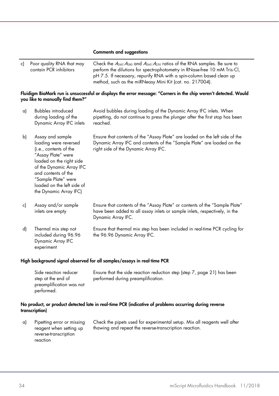#### Comments and suggestions

| c)                                                                      | Poor quality RNA that may<br>contain PCR inhibitors                                                                                                                                                                                                     | Check the $A_{260}$ : $A_{280}$ and $A_{260}$ : $A_{230}$ ratios of the RNA samples. Be sure to<br>perform the dilutions for spectrophotometry in RNase-free 10 mM Tris-Cl,<br>pH 7.5. If necessary, repurify RNA with a spin-column based clean up<br>method, such as the miRNeasy Mini Kit (cat. no. 217004). |
|-------------------------------------------------------------------------|---------------------------------------------------------------------------------------------------------------------------------------------------------------------------------------------------------------------------------------------------------|-----------------------------------------------------------------------------------------------------------------------------------------------------------------------------------------------------------------------------------------------------------------------------------------------------------------|
|                                                                         | you like to manually find them?"                                                                                                                                                                                                                        | Fluidigm BioMark run is unsuccessful or displays the error message: "Corners in the chip weren't detected. Would                                                                                                                                                                                                |
| a)                                                                      | <b>Bubbles</b> introduced<br>during loading of the<br>Dynamic Array IFC inlets                                                                                                                                                                          | Avoid bubbles during loading of the Dynamic Array IFC inlets. When<br>pipetting, do not continue to press the plunger after the first stop has been<br>reached.                                                                                                                                                 |
| b)                                                                      | Assay and sample<br>loading were reversed<br>(i.e., contents of the<br>"Assay Plate" were<br>loaded on the right side<br>of the Dynamic Array IFC<br>and contents of the<br>"Sample Plate" were<br>loaded on the left side of<br>the Dynamic Array IFC) | Ensure that contents of the "Assay Plate" are loaded on the left side of the<br>Dynamic Array IFC and contents of the "Sample Plate" are loaded on the<br>right side of the Dynamic Array IFC.                                                                                                                  |
| c)                                                                      | Assay and/or sample<br>inlets are empty                                                                                                                                                                                                                 | Ensure that contents of the "Assay Plate" or contents of the "Sample Plate"<br>have been added to all assay inlets or sample inlets, respectively, in the<br>Dynamic Array IFC.                                                                                                                                 |
| d)                                                                      | Thermal mix step not<br>included during 96.96<br>Dynamic Array IFC<br>experiment                                                                                                                                                                        | Ensure that thermal mix step has been included in real-time PCR cycling for<br>the 96.96 Dynamic Array IFC.                                                                                                                                                                                                     |
| High background signal observed for all samples/assays in real-time PCR |                                                                                                                                                                                                                                                         |                                                                                                                                                                                                                                                                                                                 |
|                                                                         | Side reaction reducer                                                                                                                                                                                                                                   | Ensure that the side reaction reduction step (step 7 page 21) has been                                                                                                                                                                                                                                          |

| Side reaction reducer    | Ensure that the side reaction reduction step (step 7, page 21) has been |
|--------------------------|-------------------------------------------------------------------------|
| step at the end of       | performed during preamplification.                                      |
| preamplification was not |                                                                         |
| performed.               |                                                                         |

#### No product, or product detected late in real-time PCR (indicative of problems occurring during reverse transcription)

| a) | Pipetting error or missing | Check the pipets used for experimental setup. Mix all reagents well after |
|----|----------------------------|---------------------------------------------------------------------------|
|    | reagent when setting up    | thawing and repeat the reverse-transcription reaction.                    |
|    | reverse-transcription      |                                                                           |
|    | reaction                   |                                                                           |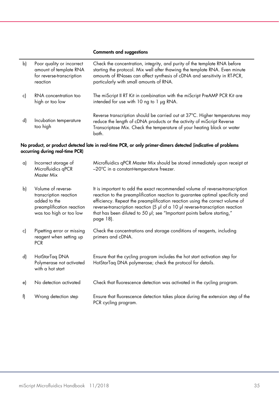#### Comments and suggestions

| b) | Poor quality or incorrect<br>amount of template RNA<br>for reverse-transcription<br>reaction | Check the concentration, integrity, and purity of the template RNA before<br>starting the protocol. Mix well after thawing the template RNA. Even minute<br>amounts of RNases can affect synthesis of cDNA and sensitivity in RT-PCR,<br>particularly with small amounts of RNA. |
|----|----------------------------------------------------------------------------------------------|----------------------------------------------------------------------------------------------------------------------------------------------------------------------------------------------------------------------------------------------------------------------------------|
| c) | RNA concentration too<br>high or too low                                                     | The miScript II RT Kit in combination with the miScript PreAMP PCR Kit are<br>intended for use with 10 ng to 1 µg RNA.                                                                                                                                                           |
| d) | Incubation temperature<br>too high                                                           | Reverse transcription should be carried out at 37°C. Higher temperatures may<br>reduce the length of cDNA products or the activity of miScript Reverse<br>Transcriptase Mix. Check the temperature of your heating block or water<br>bath.                                       |

#### No product, or product detected late in real-time PCR, or only primer-dimers detected (indicative of problems occurring during real-time PCR)

| a) | Incorrect storage of<br>Microfluidics qPCR<br>Master Mix                                                             | Microfluidics qPCR Master Mix should be stored immediately upon receipt at<br>-20°C in a constant-temperature freezer.                                                                                                                                                                                                                                                                                                   |
|----|----------------------------------------------------------------------------------------------------------------------|--------------------------------------------------------------------------------------------------------------------------------------------------------------------------------------------------------------------------------------------------------------------------------------------------------------------------------------------------------------------------------------------------------------------------|
| b) | Volume of reverse-<br>transcription reaction<br>added to the<br>preamplification reaction<br>was too high or too low | It is important to add the exact recommended volume of reverse-transcription<br>reaction to the preamplification reaction to guarantee optimal specificity and<br>efficiency. Repeat the preamplification reaction using the correct volume of<br>reverse-transcription reaction (5 µl of a 10 µl reverse-transcription reaction<br>that has been diluted to 50 µl; see "Important points before starting,"<br>page 18). |
| c) | Pipetting error or missing<br>reagent when setting up<br><b>PCR</b>                                                  | Check the concentrations and storage conditions of reagents, including<br>primers and cDNA.                                                                                                                                                                                                                                                                                                                              |
| d) | HotStarTag DNA<br>Polymerase not activated<br>with a hot start                                                       | Ensure that the cycling program includes the hot start activation step for<br>HotStarTag DNA polymerase; check the protocol for details.                                                                                                                                                                                                                                                                                 |
| e) | No detection activated                                                                                               | Check that fluorescence detection was activated in the cycling program.                                                                                                                                                                                                                                                                                                                                                  |
| f) | Wrong detection step                                                                                                 | Ensure that fluorescence detection takes place during the extension step of the<br>PCR cycling program.                                                                                                                                                                                                                                                                                                                  |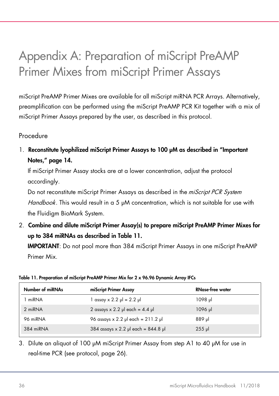### <span id="page-35-1"></span><span id="page-35-0"></span>Appendix A: Preparation of miScript PreAMP Primer Mixes from miScript Primer Assays

miScript PreAMP Primer Mixes are available for all miScript miRNA PCR Arrays. Alternatively, preamplification can be performed using the miScript PreAMP PCR Kit together with a mix of miScript Primer Assays prepared by the user, as described in this protocol.

#### Procedure

1. Reconstitute lyophilized miScript Primer Assays to 100 µM as described in "Important Notes,[" page](#page-13-3) 14.

If miScript Primer Assay stocks are at a lower concentration, adjust the protocol accordingly.

Do not reconstitute miScript Primer Assays as described in the *miScript PCR System* Handbook. This would result in a 5 µM concentration, which is not suitable for use with the Fluidigm BioMark System.

2. Combine and dilute miScript Primer Assay(s) to prepare miScript PreAMP Primer Mixes for up to 384 miRNAs as described in [Table](#page-35-2) 11.

IMPORTANT: Do not pool more than 384 miScript Primer Assays in one miScript PreAMP Primer Mix.

| Number of miRNAs | miScript Primer Assay                     | <b>RNase-free water</b> |
|------------------|-------------------------------------------|-------------------------|
| 1 miRNA          | $\vert$ assay x 2.2 $\mu$ l = 2.2 $\mu$ l | 1098 µl                 |
| 2 miRNA          | 2 assays $\times$ 2.2 µ each = 4.4 µ      | 1096 µl                 |
| 96 miRNA         | 96 assays $x 2.2$ µ each = 211.2 µ        | 889 µl                  |
| 384 miRNA        | 384 assays x 2.2 µ each = $844.8$ µ       | $255$ $\mu$             |

#### <span id="page-35-2"></span>Table 11. Preparation of miScript PreAMP Primer Mix for 2 x 96.96 Dynamic Array IFCs

3. Dilute an aliquot of 100 µM miScript Primer Assay from step A1 to 40 µM for use in real-time PCR (see protocol, [page 26\).](#page-25-1)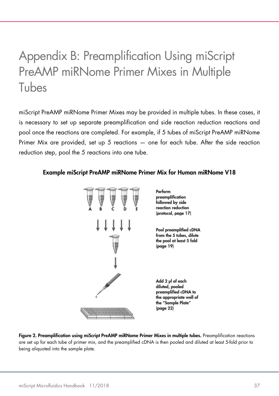### <span id="page-36-1"></span><span id="page-36-0"></span>Appendix B: Preamplification Using miScript PreAMP miRNome Primer Mixes in Multiple Tubes

miScript PreAMP miRNome Primer Mixes may be provided in multiple tubes. In these cases, it is necessary to set up separate preamplification and side reaction reduction reactions and pool once the reactions are completed. For example, if 5 tubes of miScript PreAMP miRNome Primer Mix are provided, set up 5 reactions — one for each tube. After the side reaction reduction step, pool the 5 reactions into one tube.

#### Example miScript PreAMP miRNome Primer Mix for Human miRNome V18



<span id="page-36-2"></span>Figure 2. Preamplification using miScript PreAMP miRNome Primer Mixes in multiple tubes. Preamplification reactions are set up for each tube of primer mix, and the preamplified cDNA is then pooled and diluted at least 5-fold prior to being aliquoted into the sample plate.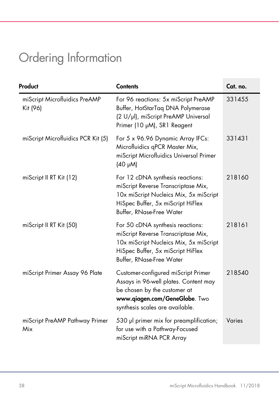## <span id="page-37-0"></span>Ordering Information

| Product                                   | <b>Contents</b>                                                                                                                                                                    | Cat. no. |
|-------------------------------------------|------------------------------------------------------------------------------------------------------------------------------------------------------------------------------------|----------|
| miScript Microfluidics PreAMP<br>Kit (96) | For 96 reactions: 5x miScript PreAMP<br>Buffer, HotStarTaq DNA Polymerase<br>(2 U/µl), miScript PreAMP Universal<br>Primer (10 µM), SR1 Reagent                                    | 331455   |
| miScript Microfluidics PCR Kit (5)        | For 5 x 96.96 Dynamic Array IFCs:<br>Microfluidics qPCR Master Mix,<br>miScript Microfluidics Universal Primer<br>(40 µM)                                                          | 331431   |
| miScript II RT Kit (12)                   | For 12 cDNA synthesis reactions:<br>miScript Reverse Transcriptase Mix,<br>10x miScript Nucleics Mix, 5x miScript<br>HiSpec Buffer, 5x miScript HiFlex<br>Buffer, RNase-Free Water | 218160   |
| miScript II RT Kit (50)                   | For 50 cDNA synthesis reactions:<br>miScript Reverse Transcriptase Mix,<br>10x miScript Nucleics Mix, 5x miScript<br>HiSpec Buffer, 5x miScript HiFlex<br>Buffer, RNase-Free Water | 218161   |
| miScript Primer Assay 96 Plate            | Customer-configured miScript Primer<br>Assays in 96-well plates. Content may<br>be chosen by the customer at<br>www.qiagen.com/GeneGlobe. Two<br>synthesis scales are available.   | 218540   |
| miScript PreAMP Pathway Primer<br>Mix     | 530 µl primer mix for preamplification;<br>for use with a Pathway-Focused<br>miScript miRNA PCR Array                                                                              | Varies   |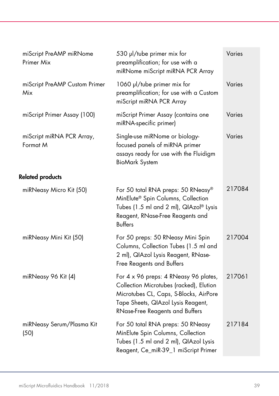| miScript PreAMP miRNome<br>Primer Mix | 530 µl/tube primer mix for<br>preamplification; for use with a<br>miRNome miScript miRNA PCR Array                                                                                                  | Varies |
|---------------------------------------|-----------------------------------------------------------------------------------------------------------------------------------------------------------------------------------------------------|--------|
| miScript PreAMP Custom Primer<br>Mix  | 1060 µl/tube primer mix for<br>preamplification; for use with a Custom<br>miScript miRNA PCR Array                                                                                                  | Varies |
| miScript Primer Assay (100)           | miScript Primer Assay (contains one<br>miRNA-specific primer)                                                                                                                                       | Varies |
| miScript miRNA PCR Array,<br>Format M | Single-use miRNome or biology-<br>focused panels of miRNA primer<br>assays ready for use with the Fluidigm<br><b>BioMark System</b>                                                                 | Varies |
| <b>Related products</b>               |                                                                                                                                                                                                     |        |
| miRNeasy Micro Kit (50)               | For 50 total RNA preps: 50 RNeasy®<br>MinElute® Spin Columns, Collection<br>Tubes (1.5 ml and 2 ml), QIAzol® Lysis<br>Reagent, RNase-Free Reagents and<br><b>Buffers</b>                            | 217084 |
| miRNeasy Mini Kit (50)                | For 50 preps: 50 RNeasy Mini Spin<br>Columns, Collection Tubes (1.5 ml and<br>2 ml), QIAzol Lysis Reagent, RNase-<br>Free Reagents and Buffers                                                      | 217004 |
| miRNeasy 96 Kit (4)                   | For 4 x 96 preps: 4 RNeasy 96 plates,<br>Collection Microtubes (racked), Elution<br>Microtubes CL, Caps, S-Blocks, AirPore<br>Tape Sheets, QIAzol Lysis Reagent,<br>RNase-Free Reagents and Buffers | 217061 |
| miRNeasy Serum/Plasma Kit<br>(50)     | For 50 total RNA preps: 50 RNeasy<br>MinElute Spin Columns, Collection<br>Tubes (1.5 ml and 2 ml), QIAzol Lysis<br>Reagent, Ce_miR-39_1 miScript Primer                                             | 217184 |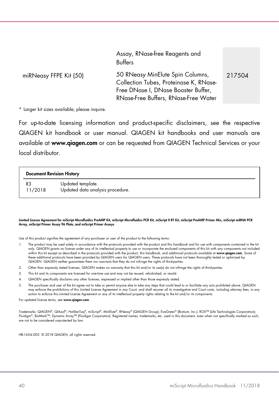|                        | Assay, RNase-free Reagents and<br><b>Buffers</b>                                                                                                          |        |
|------------------------|-----------------------------------------------------------------------------------------------------------------------------------------------------------|--------|
| miRNeasy FFPE Kit (50) | 50 RNeasy MinElute Spin Columns,<br>Collection Tubes, Proteinase K, RNase-<br>Free DNase I, DNase Booster Buffer,<br>RNase-Free Buffers, RNase-Free Water | 217504 |

\* Larger kit sizes available; please inquire.

For up-to-date licensing information and product-specific disclaimers, see the respective QIAGEN kit handbook or user manual. QIAGEN kit handbooks and user manuals are available at [www.qiagen.com](https://www.qiagen.com/ph/) or can be requested from QIAGEN Technical Services or your local distributor.

#### Document Revision History

R3 11/2018 Updated template. Updated data analysis procedure.

#### Limited License Agreement for miScript Microfluidics PreAMP Kit, miScript Microfluidics PCR Kit, miScript II RT Kit, miScript PreAMP Primer Mix, miScript miRNA PCR Array, miScript Primer Assay 96 Plate, and miScript Primer Assays

Use of this product signifies the agreement of any purchaser or user of the product to the following terms:

- 1. The product may be used solely in accordance with the protocols provided with the product and this handbook and for use with components contained in the kit only. QIAGEN grants no license under any of its intellectual property to use or incorporate the enclosed components of this kit with any components not included within this kit except as described in the protocols provided with the product, this handbook, and additional protocols available at [www.qiagen.com](https://www.qiagen.com/ph/). Some of these additional protocols have been provided by QIAGEN users for QIAGEN users. These protocols have not been thoroughly tested or optimized by QIAGEN. QIAGEN neither guarantees them nor warrants that they do not infringe the rights of third-parties.
- 2. Other than expressly stated licenses, QIAGEN makes no warranty that this kit and/or its use(s) do not infringe the rights of third-parties.
- 3. This kit and its components are licensed for one-time use and may not be reused, refurbished, or resold.
- 4. QIAGEN specifically disclaims any other licenses, expressed or implied other than those expressly stated.
- The purchaser and user of the kit agree not to take or permit anyone else to take any steps that could lead to or facilitate any acts prohibited above. QIAGEN<br>may enforce the prohibitions of this Limited License Agreement action to enforce this Limited License Agreement or any of its intellectual property rights relating to the kit and/or its components.

For updated license terms, see [www.qiagen.com](http://www.qiagen.com/).

Trademarks: QIAGEN®, QIAzol®, HotStarTaq®, miScript®, MinElute®, RNeasy® (QIAGEN Group); EvaGreen® (Biotium, Inc.); ROX™ (Life Technologies Corporation); Fluidigm® , BioMark™, Dynamic Array™ (Fluidigm Corporation). Registered names, trademarks, etc. used in this document, even when not specifically marked as such, are not to be considered unprotected by law.

HB-1654-003 © 2018 QIAGEN, all rights reserved.